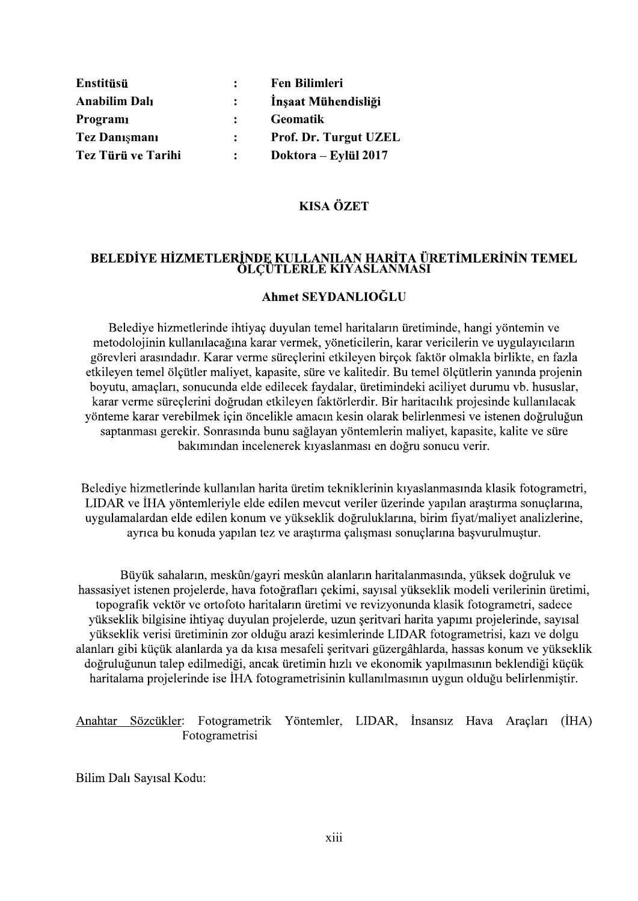| Enstitüsü            | $\mathcal{L}$ | <b>Fen Bilimleri</b>         |
|----------------------|---------------|------------------------------|
| <b>Anabilim Dalı</b> |               | Inşaat Mühendisliği          |
| Programi             |               | <b>Geomatik</b>              |
| <b>Tez Danışmanı</b> | $\mathbf{L}$  | <b>Prof. Dr. Turgut UZEL</b> |
| Tez Türü ve Tarihi   | $\mathcal{L}$ | Doktora – Eylül 2017         |

# **KISA ÖZET**

# BELEDİYE HİZMETLERİNDE KULLANILAN HARİTA ÜRETİMLERİNİN TEMEL ÖLÇÜTLERLE KIYASLANMASI

## Ahmet SEYDANLIOĞLU

Belediye hizmetlerinde ihtiyaç duyulan temel haritaların üretiminde, hangi yöntemin ve metodolojinin kullanılacağına karar vermek, yöneticilerin, karar vericilerin ve uygulayıcıların görevleri arasındadır. Karar verme süreçlerini etkileyen birçok faktör olmakla birlikte, en fazla etkileyen temel ölçütler maliyet, kapasite, süre ve kalitedir. Bu temel ölçütlerin yanında projenin , karar verme süreçlerini doğrudan etkileyen faktörlerdir. Bir haritacılık projesinde kullanılacak vönteme karar verebilmek için öncelikle amacın kesin olarak belirlenmesi ve istenen doğruluğun saptanması gerekir. Sonrasında bunu sağlayan yöntemlerin maliyet, kapasite, kalite ve süre bakımından incelenerek kıyaslanması en doğru sonucu verir.

Belediye hizmetlerinde kullanılan harita üretim tekniklerinin kıyaslanmasında klasik fotogrametri, LIDAR ve İHA yöntemleriyle elde edilen mevcut veriler üzerinde yapılan araştırma sonuçlarına, uygulamalardan elde edilen konum ve yükseklik doğruluklarına, birim fiyat/maliyet analizlerine, ayrıca bu konuda yapılan tez ve araştırma çalışması sonuçlarına başvurulmuştur.

Büyük sahaların, meskûn/gayri meskûn alanların haritalanmasında, yüksek doğruluk ve hassasiyet istenen projelerde, hava fotoğrafları çekimi, sayısal yükseklik modeli verilerinin üretimi, topografik vektör ve ortofoto haritaların üretimi ve revizyonunda klasik fotogrametri, sadece yükseklik bilgisine ihtiyaç duyulan projelerde, uzun şeritvari harita yapımı projelerinde, sayısal yükseklik verisi üretiminin zor olduğu arazi kesimlerinde LIDAR fotogrametrisi, kazı ve dolgu alanları gibi küçük alanlarda ya da kısa mesafeli şeritvari güzergâhlarda, hassas konum ve yükseklik doğruluğunun talep edilmediği, ancak üretimin hızlı ve ekonomik yapılmasının beklendiği küçük haritalama projelerinde ise İHA fotogrametrisinin kullanılmasının uygun olduğu belirlenmiştir.

Anahtar Sözcükler: Fotogrametrik Yöntemler, LIDAR, İnsansız Hava Araçları (İHA) Fotogrametrisi

Bilim Dalı Sayısal Kodu: